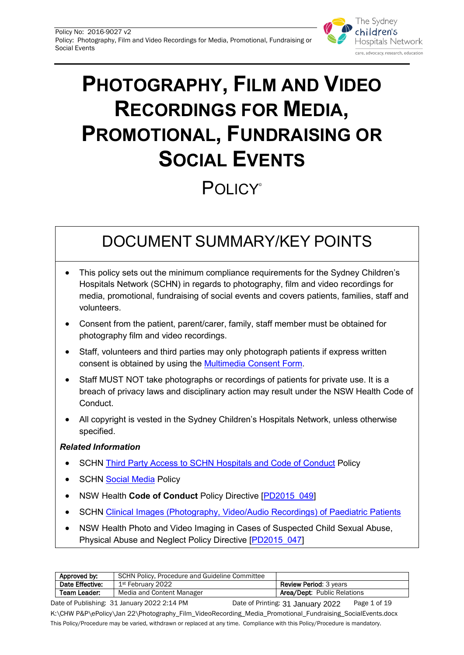

# **PHOTOGRAPHY, FILM AND VIDEO RECORDINGS FOR MEDIA, PROMOTIONAL, FUNDRAISING OR SOCIAL EVENTS**

# **POLICY**®

# DOCUMENT SUMMARY/KEY POINTS

- This policy sets out the minimum compliance requirements for the Sydney Children's Hospitals Network (SCHN) in regards to photography, film and video recordings for media, promotional, fundraising of social events and covers patients, families, staff and volunteers.
- Consent from the patient, parent/carer, family, staff member must be obtained for photography film and video recordings.
- Staff, volunteers and third parties may only photograph patients if express written consent is obtained by using the [Multimedia Consent Form.](http://chw.schn.health.nsw.gov.au/ou/public_relations/resources/forms/media_consent_-_patient.pdf)
- Staff MUST NOT take photographs or recordings of patients for private use. It is a breach of privacy laws and disciplinary action may result under the NSW Health Code of Conduct.
- All copyright is vested in the Sydney Children's Hospitals Network, unless otherwise specified.

#### *Related Information*

- SCHN [Third Party Access to SCHN Hospitals and Code of Conduct](http://webapps.schn.health.nsw.gov.au/epolicy/policy/5107) Policy
- **SCHN [Social Media](http://webapps.schn.health.nsw.gov.au/epolicy/policy/5467) Policy**
- NSW Health **Code of Conduct** Policy Directive [\[PD2015\\_049\]](https://www1.health.nsw.gov.au/pds/Pages/doc.aspx?dn=PD2015_049)
- SCHN [Clinical Images \(Photography, Video/Audio Recordings\)](http://webapps.schn.health.nsw.gov.au/epolicy/policy/5212) of Paediatric Patients
- NSW Health Photo and Video Imaging in Cases of Suspected Child Sexual Abuse, Physical Abuse and Neglect Policy Directive [\[PD2015\\_047\]](https://www1.health.nsw.gov.au/pds/Pages/doc.aspx?dn=PD2015_047)

| Approved by:    | SCHN Policy, Procedure and Guideline Committee |                                    |
|-----------------|------------------------------------------------|------------------------------------|
| Date Effective: | 1st February 2022                              | <b>Review Period: 3 years</b>      |
| Team Leader:    | Media and Content Manager                      | <b>Area/Dept:</b> Public Relations |
| .               | -----------<br>- - -<br>_________              |                                    |

Date of Publishing: 31 January 2022 2:14 PM Date of Printing: 31 January 2022 Page 1 of 19 K:\CHW P&P\ePolicy\Jan 22\Photography\_Film\_VideoRecording\_Media\_Promotional\_Fundraising\_SocialEvents.docx This Policy/Procedure may be varied, withdrawn or replaced at any time. Compliance with this Policy/Procedure is mandatory. Date of Printing: 31 January 2022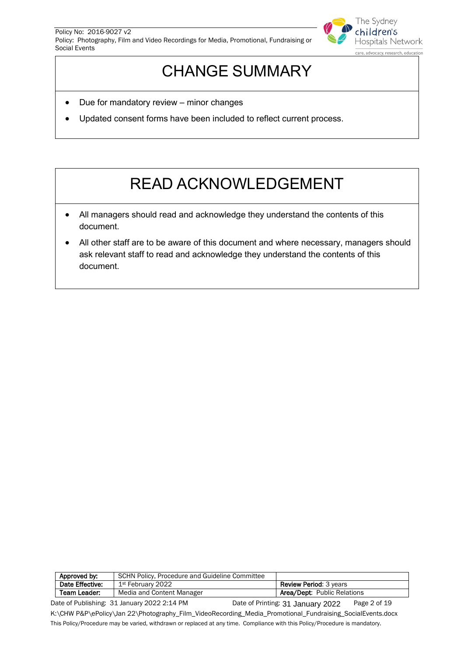

# CHANGE SUMMARY

- Due for mandatory review minor changes
- Updated consent forms have been included to reflect current process.

# READ ACKNOWLEDGEMENT

- All managers should read and acknowledge they understand the contents of this document.
- All other staff are to be aware of this document and where necessary, managers should ask relevant staff to read and acknowledge they understand the contents of this document.

| Approved by:    | SCHN Policy, Procedure and Guideline Committee |                                    |
|-----------------|------------------------------------------------|------------------------------------|
| Date Effective: | 1st February 2022                              | <b>Review Period: 3 years</b>      |
| Team Leader:    | Media and Content Manager                      | <b>Area/Dept:</b> Public Relations |
| _ _ _ _ _ _ .   | -----------                                    |                                    |

Date of Publishing: 31 January 2022 2:14 PM Date of Printing: 31 January 2022 Page 2 of 19 K:\CHW P&P\ePolicy\Jan 22\Photography\_Film\_VideoRecording\_Media\_Promotional\_Fundraising\_SocialEvents.docx This Policy/Procedure may be varied, withdrawn or replaced at any time. Compliance with this Policy/Procedure is mandatory. Date of Printing: 31 January 2022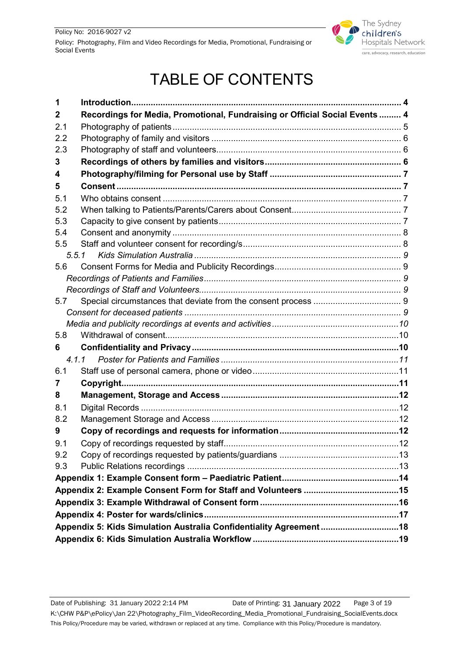

# TABLE OF CONTENTS

| 1   |                                                                             |  |
|-----|-----------------------------------------------------------------------------|--|
| 2   | Recordings for Media, Promotional, Fundraising or Official Social Events  4 |  |
| 2.1 |                                                                             |  |
| 2.2 |                                                                             |  |
| 2.3 |                                                                             |  |
| 3   |                                                                             |  |
| 4   |                                                                             |  |
| 5   |                                                                             |  |
| 5.1 |                                                                             |  |
| 5.2 |                                                                             |  |
| 5.3 |                                                                             |  |
| 5.4 |                                                                             |  |
| 5.5 |                                                                             |  |
|     |                                                                             |  |
| 5.6 |                                                                             |  |
|     |                                                                             |  |
|     |                                                                             |  |
| 5.7 |                                                                             |  |
|     |                                                                             |  |
|     |                                                                             |  |
| 5.8 |                                                                             |  |
| 6   |                                                                             |  |
|     |                                                                             |  |
| 6.1 |                                                                             |  |
| 7   |                                                                             |  |
| 8   |                                                                             |  |
| 8.1 |                                                                             |  |
| 8.2 |                                                                             |  |
| 9   |                                                                             |  |
| 9.1 |                                                                             |  |
| 9.2 |                                                                             |  |
| 9.3 |                                                                             |  |
|     |                                                                             |  |
|     |                                                                             |  |
|     |                                                                             |  |
|     |                                                                             |  |
|     | Appendix 5: Kids Simulation Australia Confidentiality Agreement18           |  |
|     |                                                                             |  |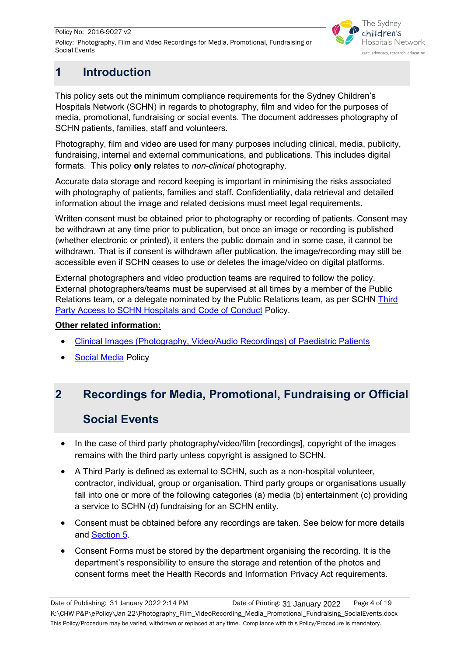

# <span id="page-3-0"></span>**1 Introduction**

This policy sets out the minimum compliance requirements for the Sydney Children's Hospitals Network (SCHN) in regards to photography, film and video for the purposes of media, promotional, fundraising or social events. The document addresses photography of SCHN patients, families, staff and volunteers.

Photography, film and video are used for many purposes including clinical, media, publicity, fundraising, internal and external communications, and publications. This includes digital formats. This policy **only** relates to *non-clinical* photography.

Accurate data storage and record keeping is important in minimising the risks associated with photography of patients, families and staff. Confidentiality, data retrieval and detailed information about the image and related decisions must meet legal requirements.

Written consent must be obtained prior to photography or recording of patients. Consent may be withdrawn at any time prior to publication, but once an image or recording is published (whether electronic or printed), it enters the public domain and in some case, it cannot be withdrawn. That is if consent is withdrawn after publication, the image/recording may still be accessible even if SCHN ceases to use or deletes the image/video on digital platforms.

External photographers and video production teams are required to follow the policy. External photographers/teams must be supervised at all times by a member of the Public Relations team, or a delegate nominated by the Public Relations team, as per SCHN Third [Party Access to SCHN Hospitals and Code of Conduct](http://webapps.schn.health.nsw.gov.au/epolicy/policy/5107) Policy.

#### **Other related information:**

- [Clinical Images \(Photography, Video/Audio Recordings\) of Paediatric Patients](http://webapps.schn.health.nsw.gov.au/epolicy/policy/5212)
- **[Social Media](http://webapps.schn.health.nsw.gov.au/epolicy/policy/5467) Policy**

# <span id="page-3-1"></span>**2 Recordings for Media, Promotional, Fundraising or Official**

## **Social Events**

- In the case of third party photography/video/film [recordings], copyright of the images remains with the third party unless copyright is assigned to SCHN.
- A Third Party is defined as external to SCHN, such as a non-hospital volunteer, contractor, individual, group or organisation. Third party groups or organisations usually fall into one or more of the following categories (a) media (b) entertainment (c) providing a service to SCHN (d) fundraising for an SCHN entity.
- Consent must be obtained before any recordings are taken. See below for more details and [Section 5.](#page-6-1)
- Consent Forms must be stored by the department organising the recording. It is the department's responsibility to ensure the storage and retention of the photos and consent forms meet the Health Records and Information Privacy Act requirements.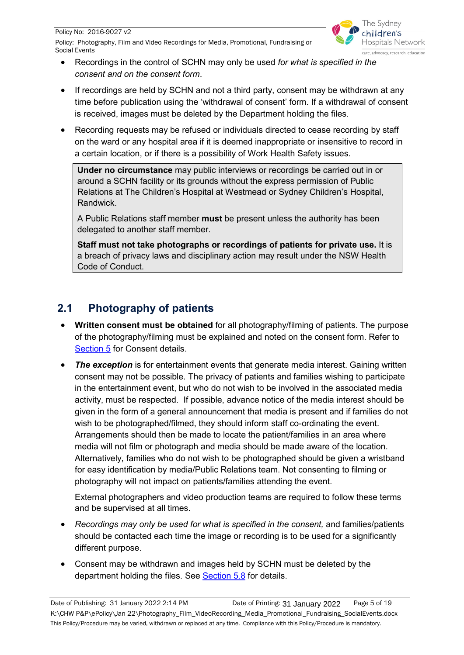

- Recordings in the control of SCHN may only be used *for what is specified in the consent and on the consent form*.
- If recordings are held by SCHN and not a third party, consent may be withdrawn at any time before publication using the 'withdrawal of consent' form. If a withdrawal of consent is received, images must be deleted by the Department holding the files.
- Recording requests may be refused or individuals directed to cease recording by staff on the ward or any hospital area if it is deemed inappropriate or insensitive to record in a certain location, or if there is a possibility of Work Health Safety issues.

**Under no circumstance** may public interviews or recordings be carried out in or around a SCHN facility or its grounds without the express permission of Public Relations at The Children's Hospital at Westmead or Sydney Children's Hospital, Randwick.

A Public Relations staff member **must** be present unless the authority has been delegated to another staff member.

**Staff must not take photographs or recordings of patients for private use.** It is a breach of privacy laws and disciplinary action may result under the NSW Health Code of Conduct.

# <span id="page-4-0"></span>**2.1 Photography of patients**

- **Written consent must be obtained** for all photography/filming of patients. The purpose of the photography/filming must be explained and noted on the consent form. Refer to [Section 5](#page-6-1) for Consent details.
- **The exception** is for entertainment events that generate media interest. Gaining written consent may not be possible. The privacy of patients and families wishing to participate in the entertainment event, but who do not wish to be involved in the associated media activity, must be respected. If possible, advance notice of the media interest should be given in the form of a general announcement that media is present and if families do not wish to be photographed/filmed, they should inform staff co-ordinating the event. Arrangements should then be made to locate the patient/families in an area where media will not film or photograph and media should be made aware of the location. Alternatively, families who do not wish to be photographed should be given a wristband for easy identification by media/Public Relations team. Not consenting to filming or photography will not impact on patients/families attending the event.

External photographers and video production teams are required to follow these terms and be supervised at all times.

- *Recordings may only be used for what is specified in the consent,* and families/patients should be contacted each time the image or recording is to be used for a significantly different purpose.
- Consent may be withdrawn and images held by SCHN must be deleted by the department holding the files. See [Section 5.8](#page-9-1) for details.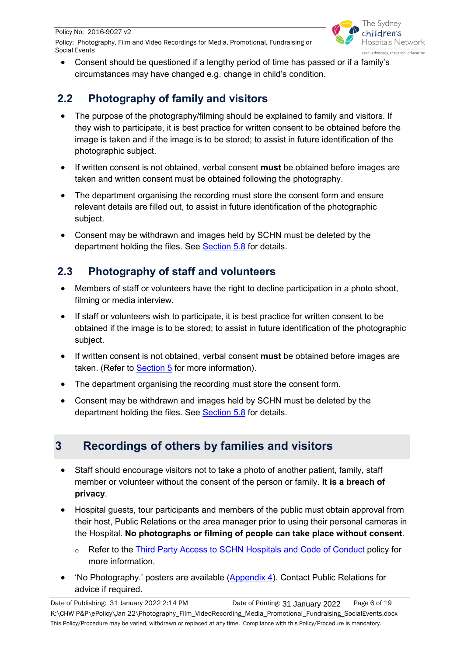Policy No: 2016-9027 v2

Policy: Photography, Film and Video Recordings for Media, Promotional, Fundraising or Social Events



• Consent should be questioned if a lengthy period of time has passed or if a family's circumstances may have changed e.g. change in child's condition.

# <span id="page-5-0"></span>**2.2 Photography of family and visitors**

- The purpose of the photography/filming should be explained to family and visitors. If they wish to participate, it is best practice for written consent to be obtained before the image is taken and if the image is to be stored; to assist in future identification of the photographic subject.
- If written consent is not obtained, verbal consent **must** be obtained before images are taken and written consent must be obtained following the photography.
- The department organising the recording must store the consent form and ensure relevant details are filled out, to assist in future identification of the photographic subject.
- Consent may be withdrawn and images held by SCHN must be deleted by the department holding the files. See [Section 5.8](#page-9-1) for details.

# <span id="page-5-1"></span>**2.3 Photography of staff and volunteers**

- Members of staff or volunteers have the right to decline participation in a photo shoot, filming or media interview.
- If staff or volunteers wish to participate, it is best practice for written consent to be obtained if the image is to be stored; to assist in future identification of the photographic subject.
- If written consent is not obtained, verbal consent **must** be obtained before images are taken. (Refer to **Section 5** for more information).
- The department organising the recording must store the consent form.
- Consent may be withdrawn and images held by SCHN must be deleted by the department holding the files. See **Section 5.8** for details.

# <span id="page-5-2"></span>**3 Recordings of others by families and visitors**

- Staff should encourage visitors not to take a photo of another patient, family, staff member or volunteer without the consent of the person or family. **It is a breach of privacy**.
- Hospital guests, tour participants and members of the public must obtain approval from their host, Public Relations or the area manager prior to using their personal cameras in the Hospital. **No photographs or filming of people can take place without consent**.
	- o Refer to the [Third Party Access to SCHN Hospitals and Code of Conduct](http://webapps.schn.health.nsw.gov.au/epolicy/policy/5107) policy for more information.
- 'No Photography.' posters are available [\(Appendix 4\)](#page-16-1). Contact Public Relations for advice if required.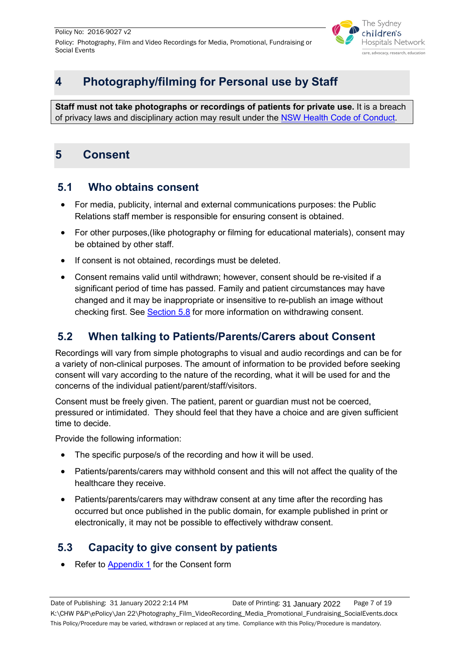

# <span id="page-6-0"></span>**4 Photography/filming for Personal use by Staff**

**Staff must not take photographs or recordings of patients for private use.** It is a breach of privacy laws and disciplinary action may result under the [NSW Health Code of Conduct.](https://www1.health.nsw.gov.au/pds/Pages/doc.aspx?dn=PD2015_049)

# <span id="page-6-1"></span>**5 Consent**

## <span id="page-6-2"></span>**5.1 Who obtains consent**

- For media, publicity, internal and external communications purposes: the Public Relations staff member is responsible for ensuring consent is obtained.
- For other purposes,(like photography or filming for educational materials), consent may be obtained by other staff.
- If consent is not obtained, recordings must be deleted.
- Consent remains valid until withdrawn; however, consent should be re-visited if a significant period of time has passed. Family and patient circumstances may have changed and it may be inappropriate or insensitive to re-publish an image without checking first. See [Section 5.8](#page-9-1) for more information on withdrawing consent.

## <span id="page-6-3"></span>**5.2 When talking to Patients/Parents/Carers about Consent**

Recordings will vary from simple photographs to visual and audio recordings and can be for a variety of non-clinical purposes. The amount of information to be provided before seeking consent will vary according to the nature of the recording, what it will be used for and the concerns of the individual patient/parent/staff/visitors.

Consent must be freely given. The patient, parent or guardian must not be coerced, pressured or intimidated. They should feel that they have a choice and are given sufficient time to decide.

Provide the following information:

- The specific purpose/s of the recording and how it will be used.
- Patients/parents/carers may withhold consent and this will not affect the quality of the healthcare they receive.
- Patients/parents/carers may withdraw consent at any time after the recording has occurred but once published in the public domain, for example published in print or electronically, it may not be possible to effectively withdraw consent.

## <span id="page-6-4"></span>**5.3 Capacity to give consent by patients**

Refer to **Appendix 1** for the Consent form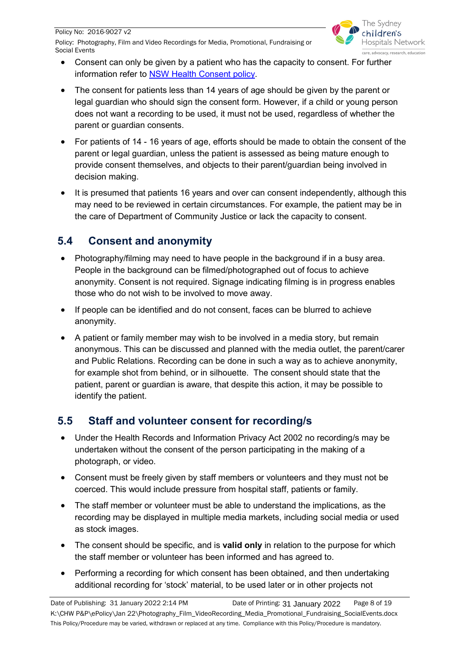

- Consent can only be given by a patient who has the capacity to consent. For further information refer to [NSW Health Consent policy.](http://webapps.schn.health.nsw.gov.au/epolicy/policy/5257)
- The consent for patients less than 14 years of age should be given by the parent or legal guardian who should sign the consent form. However, if a child or young person does not want a recording to be used, it must not be used, regardless of whether the parent or guardian consents.
- For patients of 14 16 years of age, efforts should be made to obtain the consent of the parent or legal guardian, unless the patient is assessed as being mature enough to provide consent themselves, and objects to their parent/guardian being involved in decision making.
- It is presumed that patients 16 years and over can consent independently, although this may need to be reviewed in certain circumstances. For example, the patient may be in the care of Department of Community Justice or lack the capacity to consent.

# <span id="page-7-0"></span>**5.4 Consent and anonymity**

- Photography/filming may need to have people in the background if in a busy area. People in the background can be filmed/photographed out of focus to achieve anonymity. Consent is not required. Signage indicating filming is in progress enables those who do not wish to be involved to move away.
- If people can be identified and do not consent, faces can be blurred to achieve anonymity.
- A patient or family member may wish to be involved in a media story, but remain anonymous. This can be discussed and planned with the media outlet, the parent/carer and Public Relations. Recording can be done in such a way as to achieve anonymity, for example shot from behind, or in silhouette. The consent should state that the patient, parent or guardian is aware, that despite this action, it may be possible to identify the patient.

## <span id="page-7-1"></span>**5.5 Staff and volunteer consent for recording/s**

- Under the Health Records and Information Privacy Act 2002 no recording/s may be undertaken without the consent of the person participating in the making of a photograph, or video.
- Consent must be freely given by staff members or volunteers and they must not be coerced. This would include pressure from hospital staff, patients or family.
- The staff member or volunteer must be able to understand the implications, as the recording may be displayed in multiple media markets, including social media or used as stock images.
- The consent should be specific, and is **valid only** in relation to the purpose for which the staff member or volunteer has been informed and has agreed to.
- Performing a recording for which consent has been obtained, and then undertaking additional recording for 'stock' material, to be used later or in other projects not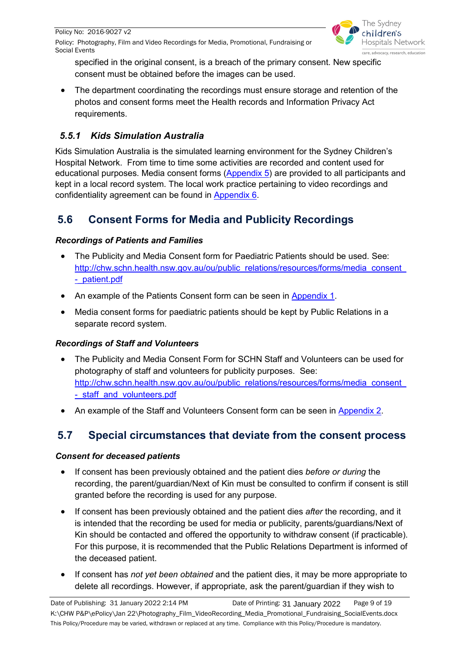

specified in the original consent, is a breach of the primary consent. New specific consent must be obtained before the images can be used.

The department coordinating the recordings must ensure storage and retention of the photos and consent forms meet the Health records and Information Privacy Act requirements.

## <span id="page-8-0"></span>*5.5.1 Kids Simulation Australia*

Kids Simulation Australia is the simulated learning environment for the Sydney Children's Hospital Network. From time to time some activities are recorded and content used for educational purposes. Media consent forms [\(Appendix 5\)](#page-17-0) are provided to all participants and kept in a local record system. The local work practice pertaining to video recordings and confidentiality agreement can be found in [Appendix 6.](#page-18-0)

# <span id="page-8-1"></span>**5.6 Consent Forms for Media and Publicity Recordings**

#### <span id="page-8-2"></span>*Recordings of Patients and Families*

- The Publicity and Media Consent form for Paediatric Patients should be used. See: [http://chw.schn.health.nsw.gov.au/ou/public\\_relations/resources/forms/media\\_consent\\_](http://chw.schn.health.nsw.gov.au/ou/public_relations/resources/forms/media_consent_-_patient.pdf) - patient.pdf
- An example of the Patients Consent form can be seen in [Appendix 1.](#page-12-2)
- Media consent forms for paediatric patients should be kept by Public Relations in a separate record system.

#### <span id="page-8-3"></span>*Recordings of Staff and Volunteers*

- The Publicity and Media Consent Form for SCHN Staff and Volunteers can be used for photography of staff and volunteers for publicity purposes. See: [http://chw.schn.health.nsw.gov.au/ou/public\\_relations/resources/forms/media\\_consent\\_](http://chw.schn.health.nsw.gov.au/ou/public_relations/resources/forms/media_consent_-_staff_and_volunteers.pdf) - staff and volunteers.pdf
- An example of the Staff and Volunteers Consent form can be seen in [Appendix 2.](#page-13-1)

# <span id="page-8-4"></span>**5.7 Special circumstances that deviate from the consent process**

#### <span id="page-8-5"></span>*Consent for deceased patients*

- If consent has been previously obtained and the patient dies *before or during* the recording, the parent/guardian/Next of Kin must be consulted to confirm if consent is still granted before the recording is used for any purpose.
- If consent has been previously obtained and the patient dies *after* the recording, and it is intended that the recording be used for media or publicity, parents/guardians/Next of Kin should be contacted and offered the opportunity to withdraw consent (if practicable). For this purpose, it is recommended that the Public Relations Department is informed of the deceased patient.
- If consent has *not yet been obtained* and the patient dies, it may be more appropriate to delete all recordings. However, if appropriate, ask the parent/guardian if they wish to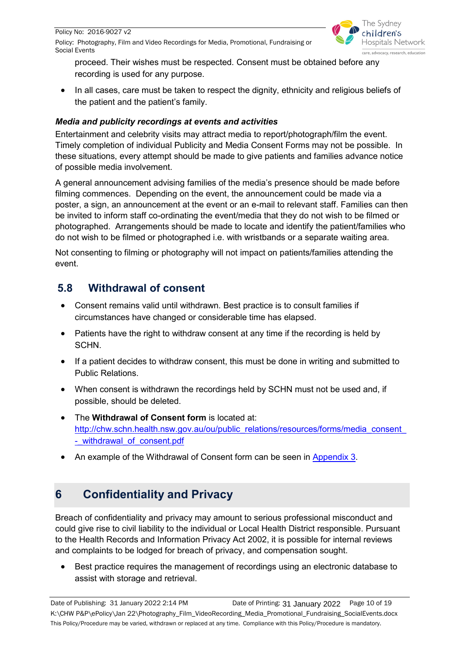

proceed. Their wishes must be respected. Consent must be obtained before any recording is used for any purpose.

• In all cases, care must be taken to respect the dignity, ethnicity and religious beliefs of the patient and the patient's family.

#### <span id="page-9-0"></span>*Media and publicity recordings at events and activities*

Entertainment and celebrity visits may attract media to report/photograph/film the event. Timely completion of individual Publicity and Media Consent Forms may not be possible. In these situations, every attempt should be made to give patients and families advance notice of possible media involvement.

A general announcement advising families of the media's presence should be made before filming commences. Depending on the event, the announcement could be made via a poster, a sign, an announcement at the event or an e-mail to relevant staff. Families can then be invited to inform staff co-ordinating the event/media that they do not wish to be filmed or photographed. Arrangements should be made to locate and identify the patient/families who do not wish to be filmed or photographed i.e. with wristbands or a separate waiting area.

Not consenting to filming or photography will not impact on patients/families attending the event.

# <span id="page-9-1"></span>**5.8 Withdrawal of consent**

- Consent remains valid until withdrawn. Best practice is to consult families if circumstances have changed or considerable time has elapsed.
- Patients have the right to withdraw consent at any time if the recording is held by SCHN.
- If a patient decides to withdraw consent, this must be done in writing and submitted to Public Relations.
- When consent is withdrawn the recordings held by SCHN must not be used and, if possible, should be deleted.
- The **Withdrawal of Consent form** is located at: [http://chw.schn.health.nsw.gov.au/ou/public\\_relations/resources/forms/media\\_consent\\_](http://chw.schn.health.nsw.gov.au/ou/public_relations/resources/forms/media_consent_-_withdrawal_of_consent.pdf) - withdrawal of consent.pdf
- An example of the Withdrawal of Consent form can be seen in [Appendix 3.](#page-14-1)

# <span id="page-9-2"></span>**6 Confidentiality and Privacy**

Breach of confidentiality and privacy may amount to serious professional misconduct and could give rise to civil liability to the individual or Local Health District responsible. Pursuant to the Health Records and Information Privacy Act 2002, it is possible for internal reviews and complaints to be lodged for breach of privacy, and compensation sought.

• Best practice requires the management of recordings using an electronic database to assist with storage and retrieval.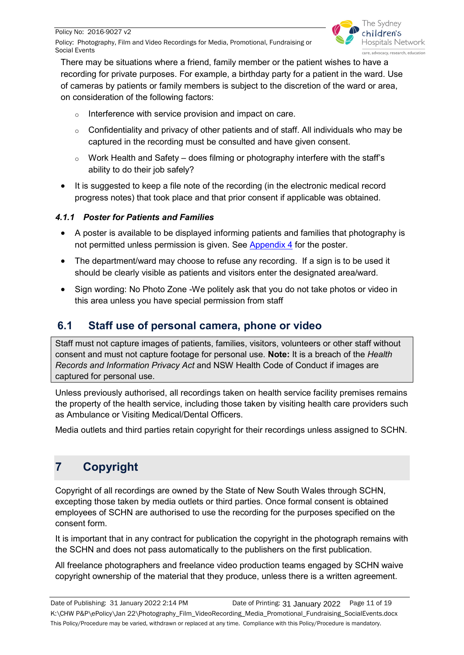Policy: Photography, Film and Video Recordings for Media, Promotional, Fundraising or Social Events



There may be situations where a friend, family member or the patient wishes to have a recording for private purposes. For example, a birthday party for a patient in the ward. Use of cameras by patients or family members is subject to the discretion of the ward or area, on consideration of the following factors:

- o Interference with service provision and impact on care.
- $\circ$  Confidentiality and privacy of other patients and of staff. All individuals who may be captured in the recording must be consulted and have given consent.
- $\circ$  Work Health and Safety does filming or photography interfere with the staff's ability to do their job safely?
- It is suggested to keep a file note of the recording (in the electronic medical record progress notes) that took place and that prior consent if applicable was obtained.

#### <span id="page-10-0"></span>*4.1.1 Poster for Patients and Families*

- A poster is available to be displayed informing patients and families that photography is not permitted unless permission is given. See [Appendix 4](#page-16-1) for the poster.
- The department/ward may choose to refuse any recording. If a sign is to be used it should be clearly visible as patients and visitors enter the designated area/ward.
- Sign wording: No Photo Zone -We politely ask that you do not take photos or video in this area unless you have special permission from staff

## <span id="page-10-1"></span>**6.1 Staff use of personal camera, phone or video**

Staff must not capture images of patients, families, visitors, volunteers or other staff without consent and must not capture footage for personal use. **Note:** It is a breach of the *Health Records and Information Privacy Act* and NSW Health Code of Conduct if images are captured for personal use.

Unless previously authorised, all recordings taken on health service facility premises remains the property of the health service, including those taken by visiting health care providers such as Ambulance or Visiting Medical/Dental Officers.

Media outlets and third parties retain copyright for their recordings unless assigned to SCHN.

# <span id="page-10-2"></span>**7 Copyright**

Copyright of all recordings are owned by the State of New South Wales through SCHN, excepting those taken by media outlets or third parties. Once formal consent is obtained employees of SCHN are authorised to use the recording for the purposes specified on the consent form.

It is important that in any contract for publication the copyright in the photograph remains with the SCHN and does not pass automatically to the publishers on the first publication.

All freelance photographers and freelance video production teams engaged by SCHN waive copyright ownership of the material that they produce, unless there is a written agreement.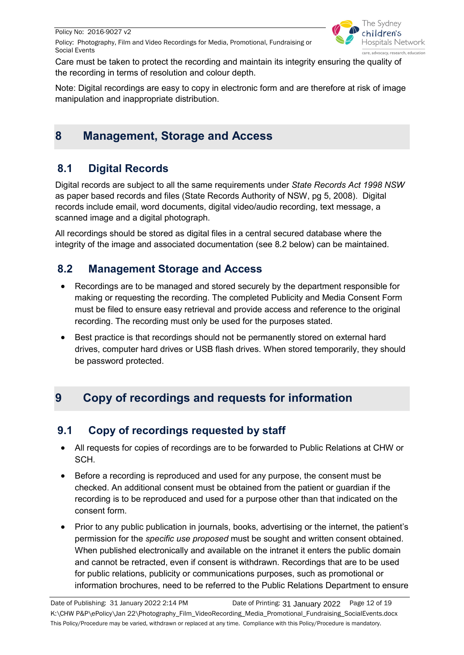

Care must be taken to protect the recording and maintain its integrity ensuring the quality of the recording in terms of resolution and colour depth.

Note: Digital recordings are easy to copy in electronic form and are therefore at risk of image manipulation and inappropriate distribution.

# <span id="page-11-0"></span>**8 Management, Storage and Access**

# <span id="page-11-1"></span>**8.1 Digital Records**

Digital records are subject to all the same requirements under *State Records Act 1998 NSW* as paper based records and files (State Records Authority of NSW, pg 5, 2008). Digital records include email, word documents, digital video/audio recording, text message, a scanned image and a digital photograph.

All recordings should be stored as digital files in a central secured database where the integrity of the image and associated documentation (see 8.2 below) can be maintained.

# <span id="page-11-2"></span>**8.2 Management Storage and Access**

- Recordings are to be managed and stored securely by the department responsible for making or requesting the recording. The completed Publicity and Media Consent Form must be filed to ensure easy retrieval and provide access and reference to the original recording. The recording must only be used for the purposes stated.
- Best practice is that recordings should not be permanently stored on external hard drives, computer hard drives or USB flash drives. When stored temporarily, they should be password protected.

# <span id="page-11-3"></span>**9 Copy of recordings and requests for information**

# <span id="page-11-4"></span>**9.1 Copy of recordings requested by staff**

- All requests for copies of recordings are to be forwarded to Public Relations at CHW or SCH.
- Before a recording is reproduced and used for any purpose, the consent must be checked. An additional consent must be obtained from the patient or guardian if the recording is to be reproduced and used for a purpose other than that indicated on the consent form.
- Prior to any public publication in journals, books, advertising or the internet, the patient's permission for the *specific use proposed* must be sought and written consent obtained. When published electronically and available on the intranet it enters the public domain and cannot be retracted, even if consent is withdrawn. Recordings that are to be used for public relations, publicity or communications purposes, such as promotional or information brochures, need to be referred to the Public Relations Department to ensure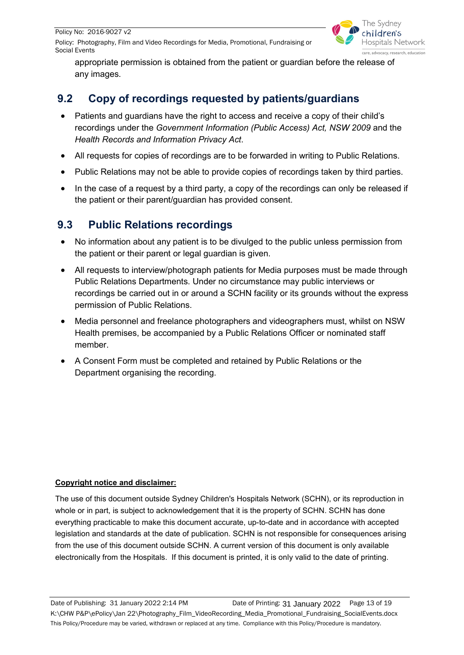Policy No: 2016-9027 v2

Policy: Photography, Film and Video Recordings for Media, Promotional, Fundraising or Social Events



appropriate permission is obtained from the patient or guardian before the release of any images.

# <span id="page-12-0"></span>**9.2 Copy of recordings requested by patients/guardians**

- Patients and guardians have the right to access and receive a copy of their child's recordings under the *Government Information (Public Access) Act, NSW 2009* and the *Health Records and Information Privacy Act*.
- All requests for copies of recordings are to be forwarded in writing to Public Relations.
- Public Relations may not be able to provide copies of recordings taken by third parties.
- In the case of a request by a third party, a copy of the recordings can only be released if the patient or their parent/guardian has provided consent.

# <span id="page-12-1"></span>**9.3 Public Relations recordings**

- No information about any patient is to be divulged to the public unless permission from the patient or their parent or legal guardian is given.
- All requests to interview/photograph patients for Media purposes must be made through Public Relations Departments. Under no circumstance may public interviews or recordings be carried out in or around a SCHN facility or its grounds without the express permission of Public Relations.
- Media personnel and freelance photographers and videographers must, whilst on NSW Health premises, be accompanied by a Public Relations Officer or nominated staff member.
- A Consent Form must be completed and retained by Public Relations or the Department organising the recording.

#### **Copyright notice and disclaimer:**

<span id="page-12-2"></span>The use of this document outside Sydney Children's Hospitals Network (SCHN), or its reproduction in whole or in part, is subject to acknowledgement that it is the property of SCHN. SCHN has done everything practicable to make this document accurate, up-to-date and in accordance with accepted legislation and standards at the date of publication. SCHN is not responsible for consequences arising from the use of this document outside SCHN. A current version of this document is only available electronically from the Hospitals. If this document is printed, it is only valid to the date of printing.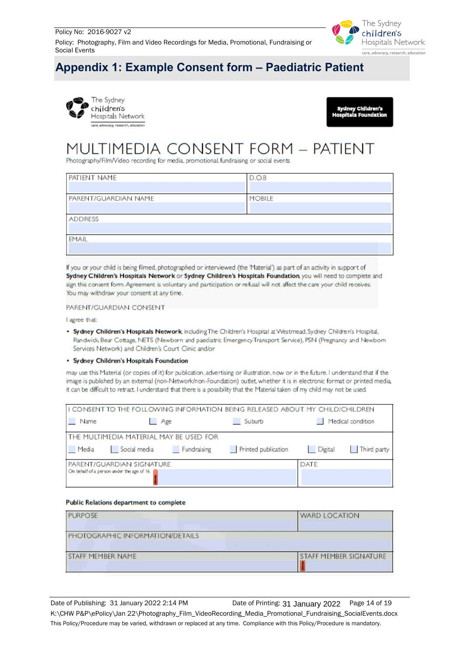

# <span id="page-13-0"></span>**Appendix 1: Example Consent form – Paediatric Patient**

<span id="page-13-1"></span>



# MULTIMEDIA CONSENT FORM - PATIENT

Photography/Film/Video recording for media, promotional, fundraising or social events

| D.O.B  |  |
|--------|--|
| MOBILE |  |
|        |  |
|        |  |
|        |  |

If you or your child is being filmed, photographed or interviewed (the 'Material') as part of an activity in support of Sydney Children's Hospitals Network or Sydney Children's Hospitals Foundation, you will need to complete and sign this consent form. Agreement is voluntary and participation or refusal will not affect the care your child receives. You may withdraw your consent at any time.

PARENT/GUARDIAN CONSENT

I agree that:

. Sydney Children's Hospitals Network, including The Children's Hospital at Westmead, Sydney Children's Hospital, Randwick, Bear Cottage, NETS (Newborn and paediatric Emergency Transport Service), PSN (Pregnancy and Newbom Services Network) and Children's Court Clinic and/or

· Sydney Children's Hospitals Foundation

may use this Material (or copies of it) for publication, advertising or illustration, now or in the future. I understand that if the image is published by an external (non-Network/non-Foundation) outlet, whether it is in electronic format or printed media, it can be difficult to retract. I understand that there is a possibility that the Material taken of my child may not be used.

|       |                                                                        |             | I I CONSENT TO THE FOLLOWING INFORMATION BEING RELEASED ABOUT MY CHILD/CHILDREN |             |                   |
|-------|------------------------------------------------------------------------|-------------|---------------------------------------------------------------------------------|-------------|-------------------|
| Name  | Age                                                                    |             | Suburb                                                                          |             | Medical condition |
|       | <b>THE MULTIMEDIA MATERIAL MAY BE USED FOR</b>                         |             |                                                                                 |             |                   |
| Media | Social media                                                           | Fundraising | Printed publication                                                             | Digital     | Third party       |
|       | PARENT/GUARDIAN SIGNATURE<br>On behalf of a person under the age of 16 |             |                                                                                 | <b>DATE</b> |                   |

#### **Public Relations department to complete**

| PURPOSE                          | <b>WARD LOCATION</b>          |
|----------------------------------|-------------------------------|
| PHOTOGRAPHIC INFORMATION/DETAILS |                               |
| STAFF MEMBER NAME                | <b>STAFF MEMBER SIGNATURE</b> |
|                                  |                               |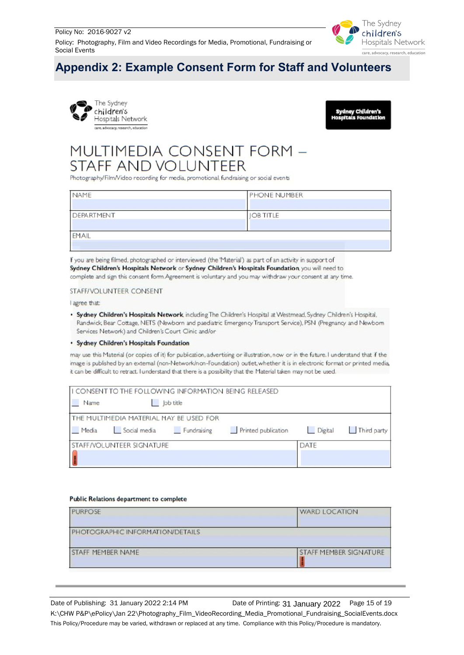Policy: Photography, Film and Video Recordings for Media, Promotional, Fundraising or Social Events



# <span id="page-14-0"></span>**Appendix 2: Example Consent Form for Staff and Volunteers**

<span id="page-14-1"></span>



# MULTIMEDIA CONSENT FORM -**STAFF AND VOLUNTEER**

Photography/Film/Video recording for media, promotional, fundraising or social events

| NAME       | PHONE NUMBER     |
|------------|------------------|
| DEPARTMENT | <b>JOB TITLE</b> |
| EMAIL      |                  |

If you are being filmed, photographed or interviewed (the 'Material') as part of an activity in support of Sydney Children's Hospitals Network or Sydney Children's Hospitals Foundation, you will need to complete and sign this consent form. Agreement is voluntary and you may withdraw your consent at any time.

#### STAFF/VOLUNTEER CONSENT

I agree that:

. Sydney Children's Hospitals Network, including The Children's Hospital at Westmead, Sydney Children's Hospital, Randwick, Bear Cottage, NETS (Newborn and paediatric Emergency Transport Service), PSN (Pregnancy and Newborn Services Network) and Children's Court Clinic and/or

#### • Sydney Children's Hospitals Foundation

may use this Material (or copies of it) for publication, advertising or illustration, now or in the future. I understand that if the image is published by an external (non-Network/non-Foundation) outlet, whether it is in electronic format or printed media, it can be difficult to retract. I understand that there is a possibility that the Material taken may not be used.

|       | I CONSENT TO THE FOLLOWING INFORMATION BEING RELEASED |           |                             |      |             |
|-------|-------------------------------------------------------|-----------|-----------------------------|------|-------------|
| Name  |                                                       | lob title |                             |      |             |
|       | THE MULTIMEDIA MATERIAL MAY BE USED FOR               |           |                             |      |             |
| Media | Social media Fundraising                              |           | Printed publication Digital |      | Third party |
|       | STAFF/VOLUNTEER SIGNATURE                             |           |                             | DATE |             |
|       |                                                       |           |                             |      |             |

#### **Public Relations department to complete**

| <b>WARD LOCATION</b>          |  |  |
|-------------------------------|--|--|
|                               |  |  |
| <b>STAFF MEMBER SIGNATURE</b> |  |  |
|                               |  |  |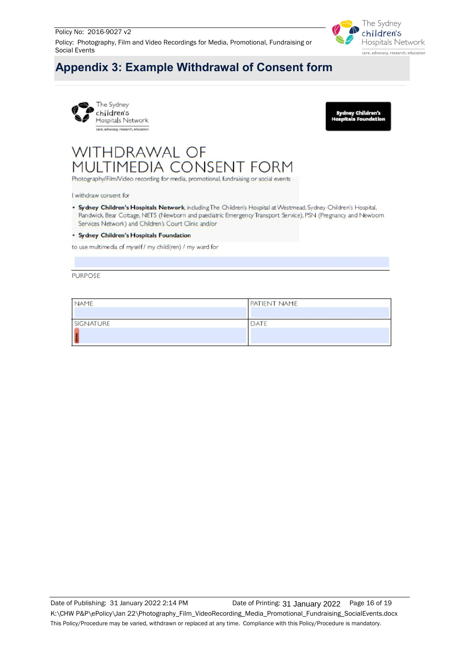

# <span id="page-15-0"></span>**Appendix 3: Example Withdrawal of Consent form**





# WITHDRAWAL OF MULTIMEDIA CONSENT FORM

Photography/Film/Video recording for media, promotional, fundraising or social events

I withdraw consent for

. Sydney Children's Hospitals Network, including The Children's Hospital at Westmead, Sydney Children's Hospital, Randwick, Bear Cottage, NETS (Newborn and paediatric Emergency Transport Service), PSN (Pregnancy and Newbom Services Network) and Children's Court Clinic and/or

#### · Sydney Children's Hospitals Foundation

to use multimedia of myself / my child(ren) / my ward for

**PURPOSE** 

| NAME      | PATIENT NAME |
|-----------|--------------|
|           |              |
| SIGNATURE | DATE         |
|           |              |
|           |              |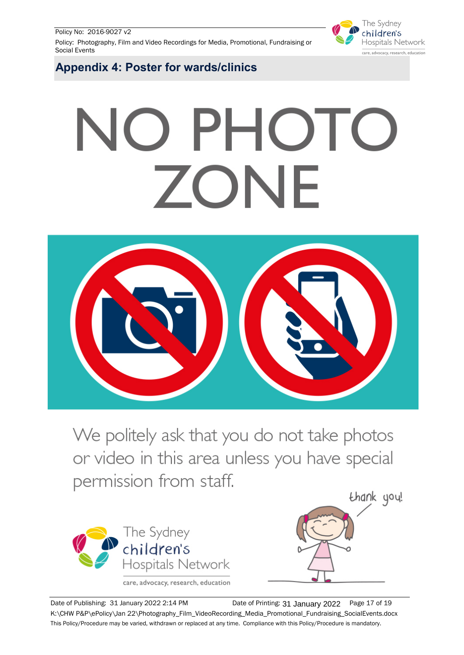Policy No: 2016-9027 v2

Policy: Photography, Film and Video Recordings for Media, Promotional, Fundraising or Social Events



<span id="page-16-1"></span><span id="page-16-0"></span>**Appendix 4: Poster for wards/clinics**

# NO PHOTO ZONE



We politely ask that you do not take photos or video in this area unless you have special permission from staff.



care, advocacy, research, education



Date of Publishing: 31 January 2022 2:14 PM **Date of Printing: 31 January 2022** Page 17 of 19 K:\CHW P&P\ePolicy\Jan 22\Photography\_Film\_VideoRecording\_Media\_Promotional\_Fundraising\_SocialEvents.docx This Policy/Procedure may be varied, withdrawn or replaced at any time. Compliance with this Policy/Procedure is mandatory.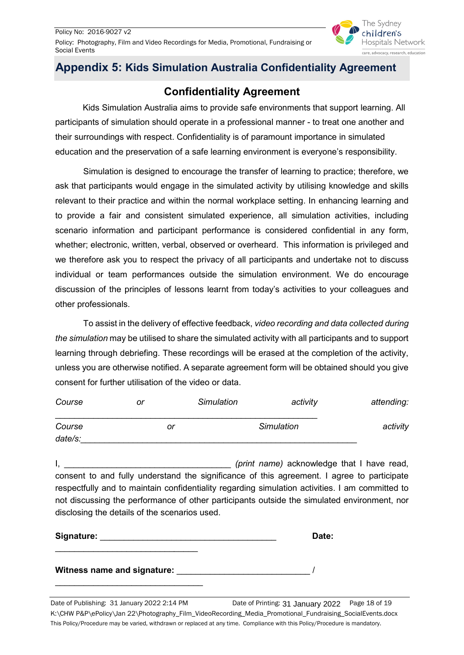

# <span id="page-17-0"></span>**Appendix 5: Kids Simulation Australia Confidentiality Agreement**

# **Confidentiality Agreement**

Kids Simulation Australia aims to provide safe environments that support learning. All participants of simulation should operate in a professional manner - to treat one another and their surroundings with respect. Confidentiality is of paramount importance in simulated education and the preservation of a safe learning environment is everyone's responsibility.

Simulation is designed to encourage the transfer of learning to practice; therefore, we ask that participants would engage in the simulated activity by utilising knowledge and skills relevant to their practice and within the normal workplace setting. In enhancing learning and to provide a fair and consistent simulated experience, all simulation activities, including scenario information and participant performance is considered confidential in any form, whether; electronic, written, verbal, observed or overheard. This information is privileged and we therefore ask you to respect the privacy of all participants and undertake not to discuss individual or team performances outside the simulation environment. We do encourage discussion of the principles of lessons learnt from today's activities to your colleagues and other professionals.

To assist in the delivery of effective feedback, *video recording and data collected during the simulation* may be utilised to share the simulated activity with all participants and to support learning through debriefing. These recordings will be erased at the completion of the activity, unless you are otherwise notified. A separate agreement form will be obtained should you give consent for further utilisation of the video or data.

| Course  | or |    | <b>Simulation</b> | activity          | attending: |
|---------|----|----|-------------------|-------------------|------------|
| Course  |    | or |                   | <b>Simulation</b> | activity   |
| date/s: |    |    |                   |                   |            |

I, \_\_\_\_\_\_\_\_\_\_\_\_\_\_\_\_\_\_\_\_\_\_\_\_\_\_\_\_\_\_\_\_\_\_\_ *(print name)* acknowledge that I have read, consent to and fully understand the significance of this agreement. I agree to participate respectfully and to maintain confidentiality regarding simulation activities. I am committed to not discussing the performance of other participants outside the simulated environment, nor disclosing the details of the scenarios used.

| Signature:                  | Date: |
|-----------------------------|-------|
|                             |       |
| Witness name and signature: |       |

\_\_\_\_\_\_\_\_\_\_\_\_\_\_\_\_\_\_\_\_\_\_\_\_\_\_\_\_\_\_\_

Date of Publishing: 31 January 2022 2:14 PM **Date of Printing: 31 January 2022** Page 18 of 19 K:\CHW P&P\ePolicy\Jan 22\Photography\_Film\_VideoRecording\_Media\_Promotional\_Fundraising\_SocialEvents.docx This Policy/Procedure may be varied, withdrawn or replaced at any time. Compliance with this Policy/Procedure is mandatory.